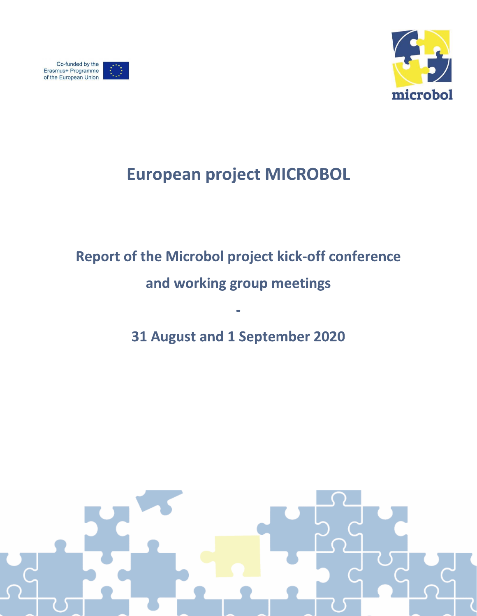





## **European project MICROBOL**

# **Report of the Microbol project kick-off conference**

## and working group meetings

## 31 August and 1 September 2020

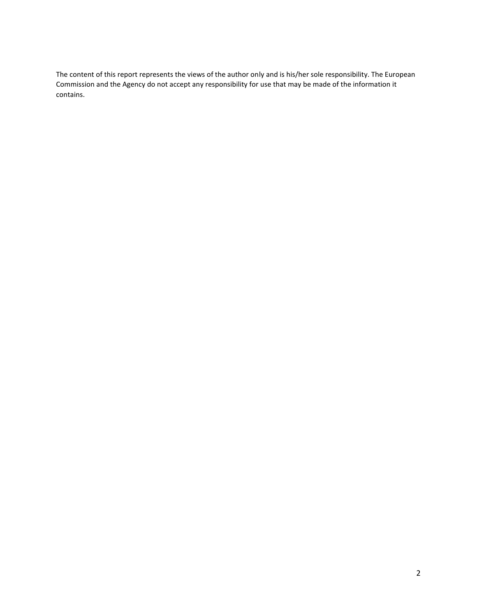The content of this report represents the views of the author only and is his/her sole responsibility. The European Commission and the Agency do not accept any responsibility for use that may be made of the information it contains.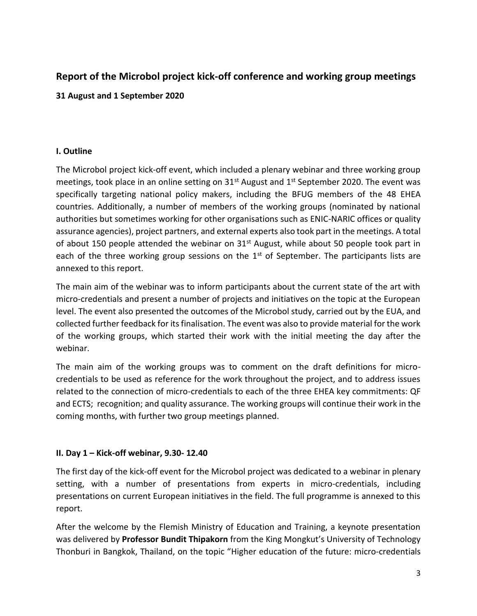## **Report of the Microbol project kick-off conference and working group meetings**

#### **31 August and 1 September 2020**

#### **I. Outline**

The Microbol project kick-off event, which included a plenary webinar and three working group meetings, took place in an online setting on  $31<sup>st</sup>$  August and  $1<sup>st</sup>$  September 2020. The event was specifically targeting national policy makers, including the BFUG members of the 48 EHEA countries. Additionally, a number of members of the working groups (nominated by national authorities but sometimes working for other organisations such as ENIC-NARIC offices or quality assurance agencies), project partners, and external experts also took part in the meetings. A total of about 150 people attended the webinar on  $31<sup>st</sup>$  August, while about 50 people took part in each of the three working group sessions on the  $1<sup>st</sup>$  of September. The participants lists are annexed to this report.

The main aim of the webinar was to inform participants about the current state of the art with micro-credentials and present a number of projects and initiatives on the topic at the European level. The event also presented the outcomes of the Microbol study, carried out by the EUA, and collected further feedback for its finalisation. The event was also to provide material for the work of the working groups, which started their work with the initial meeting the day after the webinar.

The main aim of the working groups was to comment on the draft definitions for microcredentials to be used as reference for the work throughout the project, and to address issues related to the connection of micro-credentials to each of the three EHEA key commitments: QF and ECTS; recognition; and quality assurance. The working groups will continue their work in the coming months, with further two group meetings planned.

### **II. Day 1 – Kick-off webinar, 9.30- 12.40**

The first day of the kick-off event for the Microbol project was dedicated to a webinar in plenary setting, with a number of presentations from experts in micro-credentials, including presentations on current European initiatives in the field. The full programme is annexed to this report.

After the welcome by the Flemish Ministry of Education and Training, a keynote presentation was delivered by **Professor Bundit Thipakorn** from the King Mongkut's University of Technology Thonburi in Bangkok, Thailand, on the topic "Higher education of the future: micro-credentials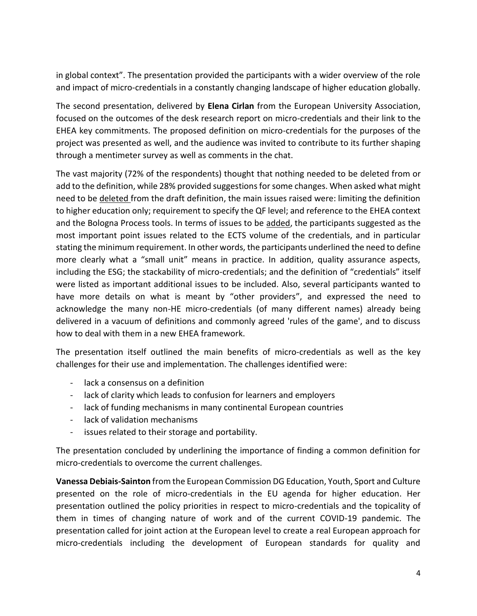in global context". The presentation provided the participants with a wider overview of the role and impact of micro-credentials in a constantly changing landscape of higher education globally.

The second presentation, delivered by **Elena Cirlan** from the European University Association, focused on the outcomes of the desk research report on micro-credentials and their link to the EHEA key commitments. The proposed definition on micro-credentials for the purposes of the project was presented as well, and the audience was invited to contribute to its further shaping through a mentimeter survey as well as comments in the chat.

The vast majority (72% of the respondents) thought that nothing needed to be deleted from or add to the definition, while 28% provided suggestions for some changes. When asked what might need to be deleted from the draft definition, the main issues raised were: limiting the definition to higher education only; requirement to specify the QF level; and reference to the EHEA context and the Bologna Process tools. In terms of issues to be added, the participants suggested as the most important point issues related to the ECTS volume of the credentials, and in particular stating the minimum requirement. In other words, the participants underlined the need to define more clearly what a "small unit" means in practice. In addition, quality assurance aspects, including the ESG; the stackability of micro-credentials; and the definition of "credentials" itself were listed as important additional issues to be included. Also, several participants wanted to have more details on what is meant by "other providers", and expressed the need to acknowledge the many non-HE micro-credentials (of many different names) already being delivered in a vacuum of definitions and commonly agreed 'rules of the game', and to discuss how to deal with them in a new EHEA framework.

The presentation itself outlined the main benefits of micro-credentials as well as the key challenges for their use and implementation. The challenges identified were:

- lack a consensus on a definition
- lack of clarity which leads to confusion for learners and employers
- lack of funding mechanisms in many continental European countries
- lack of validation mechanisms
- issues related to their storage and portability.

The presentation concluded by underlining the importance of finding a common definition for micro-credentials to overcome the current challenges.

**Vanessa Debiais-Sainton** from the European Commission DG Education, Youth, Sport and Culture presented on the role of micro-credentials in the EU agenda for higher education. Her presentation outlined the policy priorities in respect to micro-credentials and the topicality of them in times of changing nature of work and of the current COVID-19 pandemic. The presentation called for joint action at the European level to create a real European approach for micro-credentials including the development of European standards for quality and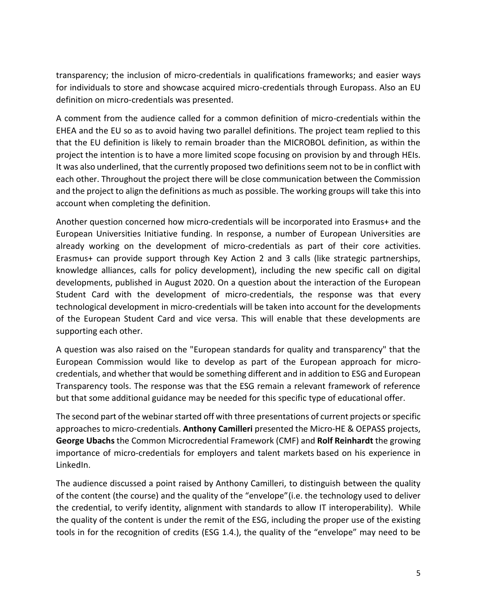transparency; the inclusion of micro-credentials in qualifications frameworks; and easier ways for individuals to store and showcase acquired micro-credentials through Europass. Also an EU definition on micro-credentials was presented.

A comment from the audience called for a common definition of micro-credentials within the EHEA and the EU so as to avoid having two parallel definitions. The project team replied to this that the EU definition is likely to remain broader than the MICROBOL definition, as within the project the intention is to have a more limited scope focusing on provision by and through HEIs. It was also underlined, that the currently proposed two definitions seem not to be in conflict with each other. Throughout the project there will be close communication between the Commission and the project to align the definitions as much as possible. The working groups will take this into account when completing the definition.

Another question concerned how micro-credentials will be incorporated into Erasmus+ and the European Universities Initiative funding. In response, a number of European Universities are already working on the development of micro-credentials as part of their core activities. Erasmus+ can provide support through Key Action 2 and 3 calls (like strategic partnerships, knowledge alliances, calls for policy development), including the new specific call on digital developments, published in August 2020. On a question about the interaction of the European Student Card with the development of micro-credentials, the response was that every technological development in micro-credentials will be taken into account for the developments of the European Student Card and vice versa. This will enable that these developments are supporting each other.

A question was also raised on the "European standards for quality and transparency" that the European Commission would like to develop as part of the European approach for microcredentials, and whether that would be something different and in addition to ESG and European Transparency tools. The response was that the ESG remain a relevant framework of reference but that some additional guidance may be needed for this specific type of educational offer.

The second part of the webinar started off with three presentations of current projects or specific approaches to micro-credentials. **Anthony Camilleri** presented the Micro-HE & OEPASS projects, **George Ubachs** the Common Microcredential Framework (CMF) and **Rolf Reinhardt** the growing importance of micro-credentials for employers and talent markets based on his experience in LinkedIn.

The audience discussed a point raised by Anthony Camilleri, to distinguish between the quality of the content (the course) and the quality of the "envelope"(i.e. the technology used to deliver the credential, to verify identity, alignment with standards to allow IT interoperability). While the quality of the content is under the remit of the ESG, including the proper use of the existing tools in for the recognition of credits (ESG 1.4.), the quality of the "envelope" may need to be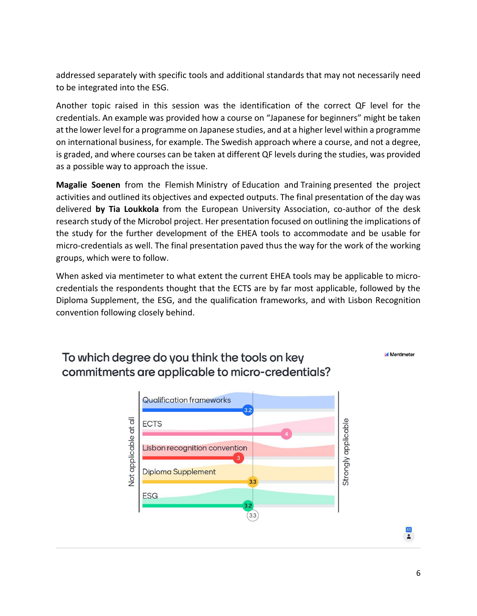addressed separately with specific tools and additional standards that may not necessarily need to be integrated into the ESG.

Another topic raised in this session was the identification of the correct QF level for the credentials. An example was provided how a course on "Japanese for beginners" might be taken at the lower level for a programme on Japanese studies, and at a higher level within a programme on international business, for example. The Swedish approach where a course, and not a degree, is graded, and where courses can be taken at different QF levels during the studies, was provided as a possible way to approach the issue.

**Magalie Soenen** from the Flemish Ministry of Education and Training presented the project activities and outlined its objectives and expected outputs. The final presentation of the day was delivered **by Tia Loukkola** from the European University Association, co-author of the desk research study of the Microbol project. Her presentation focused on outlining the implications of the study for the further development of the EHEA tools to accommodate and be usable for micro-credentials as well. The final presentation paved thus the way for the work of the working groups, which were to follow.

When asked via mentimeter to what extent the current EHEA tools may be applicable to microcredentials the respondents thought that the ECTS are by far most applicable, followed by the Diploma Supplement, the ESG, and the qualification frameworks, and with Lisbon Recognition convention following closely behind.



## To which degree do you think the tools on key commitments are applicable to micro-credentials?

65<br>**A**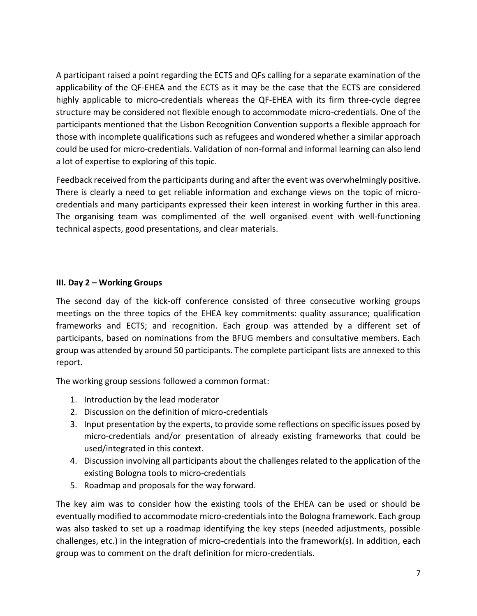A participant raised a point regarding the ECTS and QFs calling for a separate examination of the applicability of the QF-EHEA and the ECTS as it may be the case that the ECTS are considered highly applicable to micro-credentials whereas the QF-EHEA with its firm three-cycle degree structure may be considered not flexible enough to accommodate micro-credentials. One of the participants mentioned that the Lisbon Recognition Convention supports a flexible approach for those with incomplete qualifications such as refugees and wondered whether a similar approach could be used for micro-credentials. Validation of non-formal and informal learning can also lend a lot of expertise to exploring of this topic.

Feedback received from the participants during and after the event was overwhelmingly positive. There is clearly a need to get reliable information and exchange views on the topic of microcredentials and many participants expressed their keen interest in working further in this area. The organising team was complimented of the well organised event with well-functioning technical aspects, good presentations, and clear materials.

#### **III. Day 2 – Working Groups**

The second day of the kick-off conference consisted of three consecutive working groups meetings on the three topics of the EHEA key commitments: quality assurance; qualification frameworks and ECTS; and recognition. Each group was attended by a different set of participants, based on nominations from the BFUG members and consultative members. Each group was attended by around 50 participants. The complete participant lists are annexed to this report.

The working group sessions followed a common format:

- 1. Introduction by the lead moderator
- 2. Discussion on the definition of micro-credentials
- 3. Input presentation by the experts, to provide some reflections on specific issues posed by micro-credentials and/or presentation of already existing frameworks that could be used/integrated in this context.
- 4. Discussion involving all participants about the challenges related to the application of the existing Bologna tools to micro-credentials
- 5. Roadmap and proposals for the way forward.

The key aim was to consider how the existing tools of the EHEA can be used or should be eventually modified to accommodate micro-credentials into the Bologna framework. Each group was also tasked to set up a roadmap identifying the key steps (needed adjustments, possible challenges, etc.) in the integration of micro-credentials into the framework(s). In addition, each group was to comment on the draft definition for micro-credentials.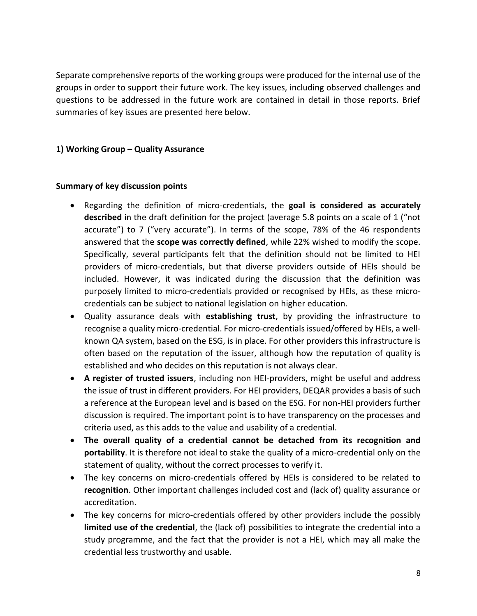Separate comprehensive reports of the working groups were produced for the internal use of the groups in order to support their future work. The key issues, including observed challenges and questions to be addressed in the future work are contained in detail in those reports. Brief summaries of key issues are presented here below.

#### **1) Working Group – Quality Assurance**

#### **Summary of key discussion points**

- Regarding the definition of micro-credentials, the **goal is considered as accurately described** in the draft definition for the project (average 5.8 points on a scale of 1 ("not accurate") to 7 ("very accurate"). In terms of the scope, 78% of the 46 respondents answered that the **scope was correctly defined**, while 22% wished to modify the scope. Specifically, several participants felt that the definition should not be limited to HEI providers of micro-credentials, but that diverse providers outside of HEIs should be included. However, it was indicated during the discussion that the definition was purposely limited to micro-credentials provided or recognised by HEIs, as these microcredentials can be subject to national legislation on higher education.
- Quality assurance deals with **establishing trust**, by providing the infrastructure to recognise a quality micro-credential. For micro-credentials issued/offered by HEIs, a wellknown QA system, based on the ESG, is in place. For other providers this infrastructure is often based on the reputation of the issuer, although how the reputation of quality is established and who decides on this reputation is not always clear.
- **A register of trusted issuers**, including non HEI-providers, might be useful and address the issue of trust in different providers. For HEI providers, DEQAR provides a basis of such a reference at the European level and is based on the ESG. For non-HEI providers further discussion is required. The important point is to have transparency on the processes and criteria used, as this adds to the value and usability of a credential.
- **The overall quality of a credential cannot be detached from its recognition and portability**. It is therefore not ideal to stake the quality of a micro-credential only on the statement of quality, without the correct processes to verify it.
- The key concerns on micro-credentials offered by HEIs is considered to be related to **recognition**. Other important challenges included cost and (lack of) quality assurance or accreditation.
- The key concerns for micro-credentials offered by other providers include the possibly **limited use of the credential**, the (lack of) possibilities to integrate the credential into a study programme, and the fact that the provider is not a HEI, which may all make the credential less trustworthy and usable.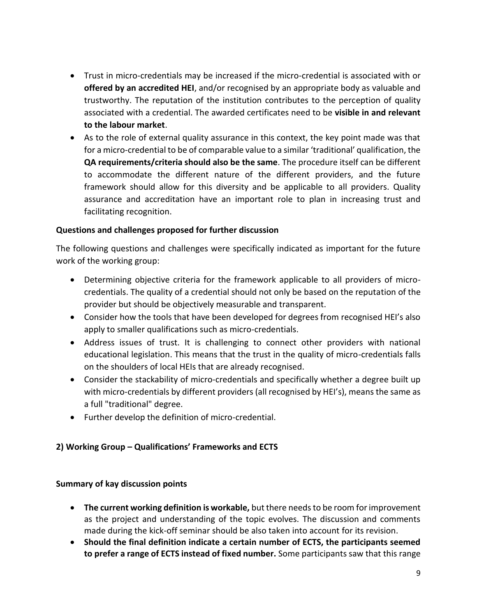- Trust in micro-credentials may be increased if the micro-credential is associated with or **offered by an accredited HEI**, and/or recognised by an appropriate body as valuable and trustworthy. The reputation of the institution contributes to the perception of quality associated with a credential. The awarded certificates need to be **visible in and relevant to the labour market**.
- As to the role of external quality assurance in this context, the key point made was that for a micro-credential to be of comparable value to a similar 'traditional' qualification, the **QA requirements/criteria should also be the same**. The procedure itself can be different to accommodate the different nature of the different providers, and the future framework should allow for this diversity and be applicable to all providers. Quality assurance and accreditation have an important role to plan in increasing trust and facilitating recognition.

#### **Questions and challenges proposed for further discussion**

The following questions and challenges were specifically indicated as important for the future work of the working group:

- Determining objective criteria for the framework applicable to all providers of microcredentials. The quality of a credential should not only be based on the reputation of the provider but should be objectively measurable and transparent.
- Consider how the tools that have been developed for degrees from recognised HEI's also apply to smaller qualifications such as micro-credentials.
- Address issues of trust. It is challenging to connect other providers with national educational legislation. This means that the trust in the quality of micro-credentials falls on the shoulders of local HEIs that are already recognised.
- Consider the stackability of micro-credentials and specifically whether a degree built up with micro-credentials by different providers (all recognised by HEI's), means the same as a full "traditional" degree.
- Further develop the definition of micro-credential.

#### **2) Working Group – Qualifications' Frameworks and ECTS**

#### **Summary of kay discussion points**

- **The current working definition is workable,** but there needs to be room for improvement as the project and understanding of the topic evolves. The discussion and comments made during the kick-off seminar should be also taken into account for its revision.
- **Should the final definition indicate a certain number of ECTS, the participants seemed to prefer a range of ECTS instead of fixed number.** Some participants saw that this range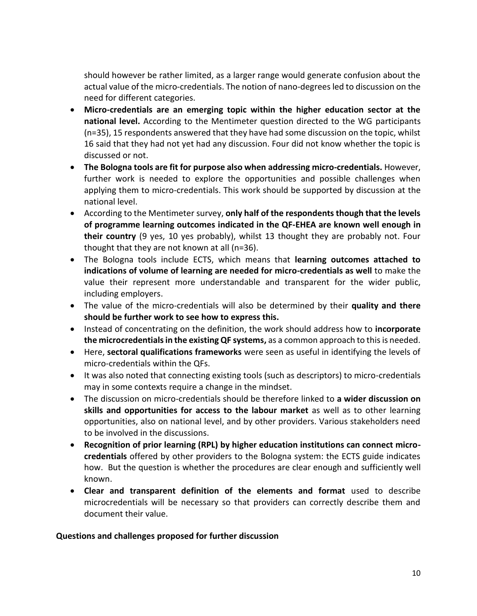should however be rather limited, as a larger range would generate confusion about the actual value of the micro-credentials. The notion of nano-degrees led to discussion on the need for different categories.

- **Micro-credentials are an emerging topic within the higher education sector at the national level.** According to the Mentimeter question directed to the WG participants (n=35), 15 respondents answered that they have had some discussion on the topic, whilst 16 said that they had not yet had any discussion. Four did not know whether the topic is discussed or not.
- **The Bologna tools are fit for purpose also when addressing micro-credentials.** However, further work is needed to explore the opportunities and possible challenges when applying them to micro-credentials. This work should be supported by discussion at the national level.
- According to the Mentimeter survey, **only half of the respondents though that the levels of programme learning outcomes indicated in the QF-EHEA are known well enough in their country** (9 yes, 10 yes probably), whilst 13 thought they are probably not. Four thought that they are not known at all (n=36).
- The Bologna tools include ECTS, which means that **learning outcomes attached to indications of volume of learning are needed for micro-credentials as well** to make the value their represent more understandable and transparent for the wider public, including employers.
- The value of the micro-credentials will also be determined by their **quality and there should be further work to see how to express this.**
- Instead of concentrating on the definition, the work should address how to **incorporate the microcredentials in the existing QF systems,** as a common approach to this is needed.
- Here, **sectoral qualifications frameworks** were seen as useful in identifying the levels of micro-credentials within the QFs.
- It was also noted that connecting existing tools (such as descriptors) to micro-credentials may in some contexts require a change in the mindset.
- The discussion on micro-credentials should be therefore linked to **a wider discussion on skills and opportunities for access to the labour market** as well as to other learning opportunities, also on national level, and by other providers. Various stakeholders need to be involved in the discussions.
- **Recognition of prior learning (RPL) by higher education institutions can connect microcredentials** offered by other providers to the Bologna system: the ECTS guide indicates how. But the question is whether the procedures are clear enough and sufficiently well known.
- **Clear and transparent definition of the elements and format** used to describe microcredentials will be necessary so that providers can correctly describe them and document their value.

#### **Questions and challenges proposed for further discussion**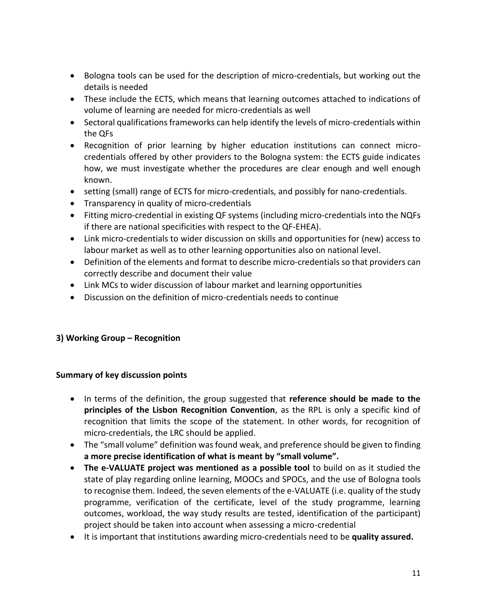- Bologna tools can be used for the description of micro-credentials, but working out the details is needed
- These include the ECTS, which means that learning outcomes attached to indications of volume of learning are needed for micro-credentials as well
- Sectoral qualifications frameworks can help identify the levels of micro-credentials within the QFs
- Recognition of prior learning by higher education institutions can connect microcredentials offered by other providers to the Bologna system: the ECTS guide indicates how, we must investigate whether the procedures are clear enough and well enough known.
- setting (small) range of ECTS for micro-credentials, and possibly for nano-credentials.
- Transparency in quality of micro-credentials
- Fitting micro-credential in existing QF systems (including micro-credentials into the NQFs if there are national specificities with respect to the QF-EHEA).
- Link micro-credentials to wider discussion on skills and opportunities for (new) access to labour market as well as to other learning opportunities also on national level.
- Definition of the elements and format to describe micro-credentials so that providers can correctly describe and document their value
- Link MCs to wider discussion of labour market and learning opportunities
- Discussion on the definition of micro-credentials needs to continue

#### **3) Working Group – Recognition**

#### **Summary of key discussion points**

- In terms of the definition, the group suggested that **reference should be made to the principles of the Lisbon Recognition Convention**, as the RPL is only a specific kind of recognition that limits the scope of the statement. In other words, for recognition of micro-credentials, the LRC should be applied.
- The "small volume" definition was found weak, and preference should be given to finding **a more precise identification of what is meant by "small volume".**
- **The e-VALUATE project was mentioned as a possible tool** to build on as it studied the state of play regarding online learning, MOOCs and SPOCs, and the use of Bologna tools to recognise them. Indeed, the seven elements of the e-VALUATE (i.e. quality of the study programme, verification of the certificate, level of the study programme, learning outcomes, workload, the way study results are tested, identification of the participant) project should be taken into account when assessing a micro-credential
- It is important that institutions awarding micro-credentials need to be **quality assured.**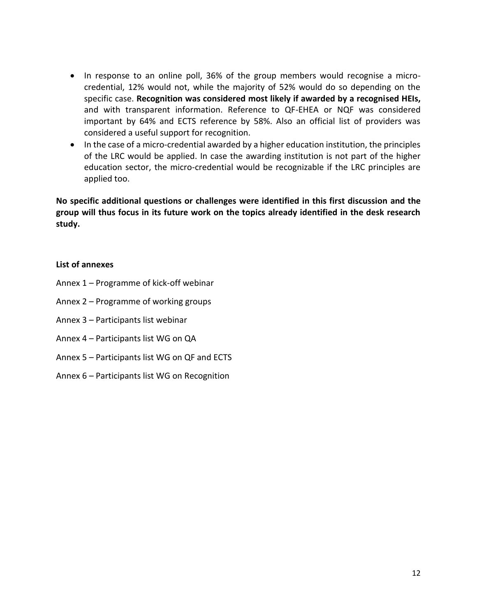- In response to an online poll, 36% of the group members would recognise a microcredential, 12% would not, while the majority of 52% would do so depending on the specific case. **Recognition was considered most likely if awarded by a recognised HEIs,** and with transparent information. Reference to QF-EHEA or NQF was considered important by 64% and ECTS reference by 58%. Also an official list of providers was considered a useful support for recognition.
- In the case of a micro-credential awarded by a higher education institution, the principles of the LRC would be applied. In case the awarding institution is not part of the higher education sector, the micro-credential would be recognizable if the LRC principles are applied too.

**No specific additional questions or challenges were identified in this first discussion and the group will thus focus in its future work on the topics already identified in the desk research study.**

#### **List of annexes**

- Annex 1 Programme of kick-off webinar
- Annex 2 Programme of working groups
- Annex 3 Participants list webinar
- Annex 4 Participants list WG on QA
- Annex 5 Participants list WG on QF and ECTS
- Annex 6 Participants list WG on Recognition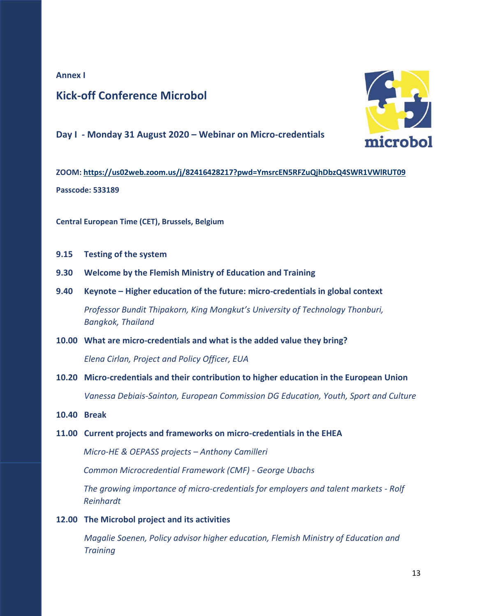#### **Annex I**

## **Kick-off Conference Microbol**

**Day I - Monday 31 August 2020 – Webinar on Micro-credentials** 



**Central European Time (CET), Brussels, Belgium** 

- **9.15 Testing of the system**
- **9.30 Welcome by the Flemish Ministry of Education and Training**
- **9.40 Keynote – Higher education of the future: micro-credentials in global context**  *Professor Bundit Thipakorn, King Mongkut's University of Technology Thonburi, Bangkok, Thailand*
- **10.00 What are micro-credentials and what is the added value they bring?**

*Elena Cirlan, Project and Policy Officer, EUA*

- **10.20 Micro-credentials and their contribution to higher education in the European Union** *Vanessa Debiais-Sainton, European Commission DG Education, Youth, Sport and Culture*
- **10.40 Break**
- **11.00 Current projects and frameworks on micro-credentials in the EHEA**

*Micro-HE & OEPASS projects – Anthony Camilleri*

*Common Microcredential Framework (CMF) - George Ubachs*

*The growing importance of micro-credentials for employers and talent markets - Rolf Reinhardt*

**12.00 The Microbol project and its activities**

*Magalie Soenen, Policy advisor higher education, Flemish Ministry of Education and Training*

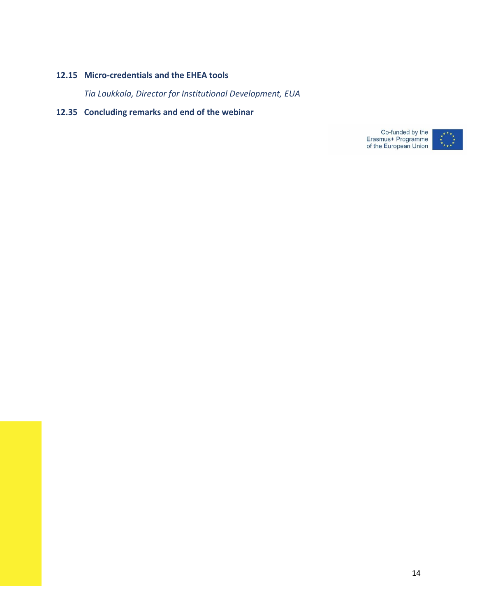#### **12.15 Micro-credentials and the EHEA tools**

*Tia Loukkola, Director for Institutional Development, EUA*

#### **12.35 Concluding remarks and end of the webinar**

Co-funded by the<br>Erasmus+ Programme<br>of the European Union

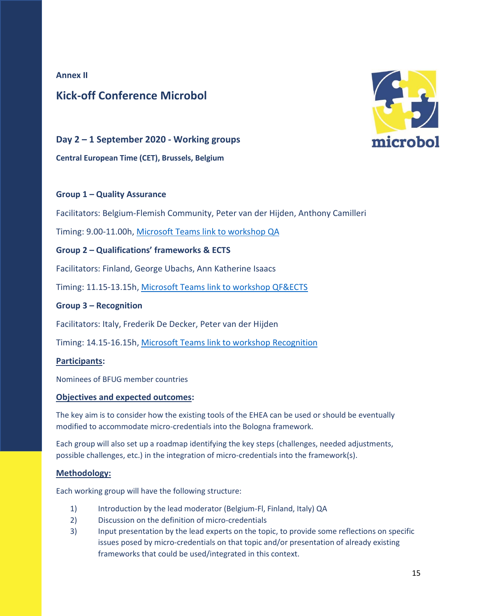#### **Annex II**

## **Kick-off Conference Microbol**



#### **Day 2 – 1 September 2020 - Working groups**

**Central European Time (CET), Brussels, Belgium** 

#### **Group 1 – Quality Assurance**

Facilitators: Belgium-Flemish Community, Peter van der Hijden, Anthony Camilleri

Timing: 9.00-11.00h, [Microsoft Teams link to workshop QA](https://teams.microsoft.com/dl/launcher/launcher.html?url=%2f_%23%2fl%2fmeetup-join%2f19%3ameeting_MzJkMGRhMjUtNzgyNi00NzM1LTllMjctZTI4OWQ2NTBjNzcw%40thread.v2%2f0%3fcontext%3d%257b%2522Tid%2522%253a%25220c0338a6-9561-4ee8-b8d6-4e89cbd520a0%2522%252c%2522Oid%2522%253a%2522f9755bf2-ac6a-469d-9fb5-dabc6354c67b%2522%257d%26anon%3dtrue&type=meetup-join&deeplinkId=1875b11f-89e6-4812-ade2-feed15596155&directDl=true&msLaunch=true&enableMobilePage=true&suppressPrompt=true)

#### **Group 2 – Qualifications' frameworks & ECTS**

Facilitators: Finland, George Ubachs, Ann Katherine Isaacs

Timing: 11.15-13.15h, [Microsoft Teams link to workshop QF&ECTS](https://teams.microsoft.com/l/meetup-join/19%3ameeting_ZWIzMzZmMjgtYTg3ZS00MmVlLWJmMjUtOGQ2YTgzMTk0YWRm%40thread.v2/0?context=%7b%22Tid%22%3a%220c0338a6-9561-4ee8-b8d6-4e89cbd520a0%22%2c%22Oid%22%3a%22f9755bf2-ac6a-469d-9fb5-dabc6354c67b%22%7d)

#### **Group 3 – Recognition**

Facilitators: Italy, Frederik De Decker, Peter van der Hijden

Timing: 14.15-16.15h, [Microsoft Teams link to workshop Recognition](https://teams.microsoft.com/dl/launcher/launcher.html?url=%2f_%23%2fl%2fmeetup-join%2f19%3ameeting_MmUxODU0YmItYmMwOC00ZDhiLWI0OTgtMzA3NTA2NGYwMGY0%40thread.v2%2f0%3fcontext%3d%257b%2522Tid%2522%253a%25220c0338a6-9561-4ee8-b8d6-4e89cbd520a0%2522%252c%2522Oid%2522%253a%2522f9755bf2-ac6a-469d-9fb5-dabc6354c67b%2522%257d%26anon%3dtrue&type=meetup-join&deeplinkId=e8a1b00c-908b-426f-bd9d-6bf08fb355ed&directDl=true&msLaunch=true&enableMobilePage=true&suppressPrompt=true)

#### **Participants:**

Nominees of BFUG member countries

#### **Objectives and expected outcomes:**

The key aim is to consider how the existing tools of the EHEA can be used or should be eventually modified to accommodate micro-credentials into the Bologna framework.

Each group will also set up a roadmap identifying the key steps (challenges, needed adjustments, possible challenges, etc.) in the integration of micro-credentials into the framework(s).

#### **Methodology:**

Each working group will have the following structure:

- 1) Introduction by the lead moderator (Belgium-Fl, Finland, Italy) QA
- 2) Discussion on the definition of micro-credentials
- 3) Input presentation by the lead experts on the topic, to provide some reflections on specific issues posed by micro-credentials on that topic and/or presentation of already existing frameworks that could be used/integrated in this context.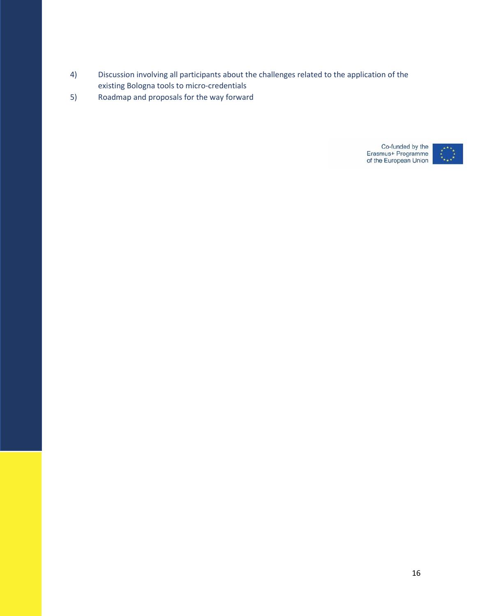- 4) Discussion involving all participants about the challenges related to the application of the existing Bologna tools to micro-credentials
- 5) Roadmap and proposals for the way forward

Co-funded by the<br>Erasmus+ Programme<br>of the European Union

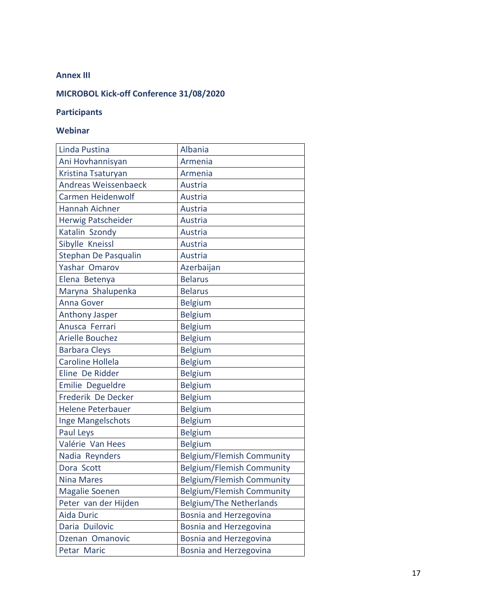#### **Annex III**

## **MICROBOL Kick-off Conference 31/08/2020**

#### **Participants**

## **Webinar**

| Linda Pustina               | Albania                          |
|-----------------------------|----------------------------------|
| Ani Hovhannisyan            | Armenia                          |
| Kristina Tsaturyan          | Armenia                          |
| <b>Andreas Weissenbaeck</b> | <b>Austria</b>                   |
| <b>Carmen Heidenwolf</b>    | Austria                          |
| Hannah Aichner              | Austria                          |
| Herwig Patscheider          | Austria                          |
| Katalin Szondy              | <b>Austria</b>                   |
| Sibylle Kneissl             | Austria                          |
| Stephan De Pasqualin        | <b>Austria</b>                   |
| Yashar Omarov               | Azerbaijan                       |
| Elena Betenya               | <b>Belarus</b>                   |
| Maryna Shalupenka           | <b>Belarus</b>                   |
| <b>Anna Gover</b>           | <b>Belgium</b>                   |
| <b>Anthony Jasper</b>       | <b>Belgium</b>                   |
| Anusca Ferrari              | <b>Belgium</b>                   |
| <b>Arielle Bouchez</b>      | <b>Belgium</b>                   |
| <b>Barbara Cleys</b>        | <b>Belgium</b>                   |
| <b>Caroline Hollela</b>     | <b>Belgium</b>                   |
| Eline De Ridder             | <b>Belgium</b>                   |
| Emilie Degueldre            | <b>Belgium</b>                   |
| Frederik De Decker          | <b>Belgium</b>                   |
| <b>Helene Peterbauer</b>    | <b>Belgium</b>                   |
| Inge Mangelschots           | <b>Belgium</b>                   |
| Paul Leys                   | <b>Belgium</b>                   |
| Valérie Van Hees            | <b>Belgium</b>                   |
| Nadia Reynders              | <b>Belgium/Flemish Community</b> |
| Dora Scott                  | <b>Belgium/Flemish Community</b> |
| <b>Nina Mares</b>           | <b>Belgium/Flemish Community</b> |
| Magalie Soenen              | Belgium/Flemish Community        |
| Peter van der Hijden        | <b>Belgium/The Netherlands</b>   |
| <b>Aida Duric</b>           | Bosnia and Herzegovina           |
| Daria Duilovic              | Bosnia and Herzegovina           |
| Dzenan Omanovic             | Bosnia and Herzegovina           |
| Petar Maric                 | Bosnia and Herzegovina           |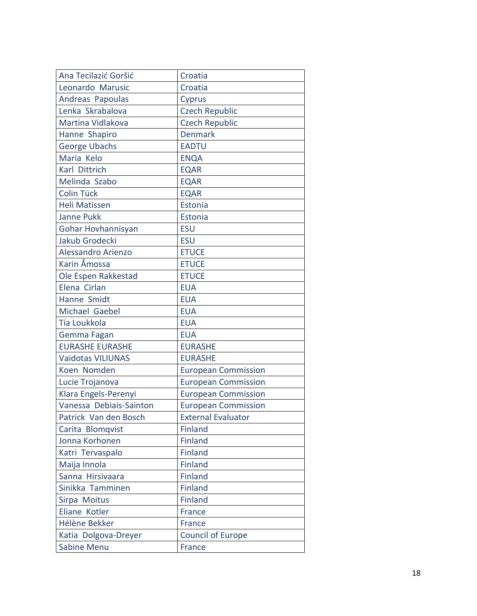| Ana Tecilazić Goršić     | Croatia                    |
|--------------------------|----------------------------|
| Leonardo Marusic         | Croatia                    |
| Andreas Papoulas         | Cyprus                     |
| Lenka Skrabalova         | <b>Czech Republic</b>      |
| Martina Vidlakova        | <b>Czech Republic</b>      |
| Hanne Shapiro            | <b>Denmark</b>             |
| George Ubachs            | <b>EADTU</b>               |
| Maria Kelo               | <b>ENQA</b>                |
| Karl Dittrich            | <b>EQAR</b>                |
| Melinda Szabo            | <b>EQAR</b>                |
| Colin Tück               | <b>EQAR</b>                |
| <b>Heli Matissen</b>     | Estonia                    |
| <b>Janne Pukk</b>        | Estonia                    |
| Gohar Hovhannisyan       | <b>ESU</b>                 |
| Jakub Grodecki           | <b>ESU</b>                 |
| Alessandro Arienzo       | <b>ETUCE</b>               |
| Karin Åmossa             | <b>ETUCE</b>               |
| Ole Espen Rakkestad      | <b>ETUCE</b>               |
| Elena Cirlan             | <b>EUA</b>                 |
| Hanne Smidt              | <b>EUA</b>                 |
| Michael Gaebel           | <b>EUA</b>                 |
| Tia Loukkola             | <b>EUA</b>                 |
| Gemma Fagan              | <b>EUA</b>                 |
| <b>EURASHE EURASHE</b>   | <b>EURASHE</b>             |
| <b>Vaidotas VILIUNAS</b> | <b>EURASHE</b>             |
| Koen Nomden              | <b>European Commission</b> |
| Lucie Trojanova          | <b>European Commission</b> |
| Klara Engels-Perenyi     | <b>European Commission</b> |
| Vanessa Debiais-Sainton  | <b>European Commission</b> |
| Patrick Van den Bosch    | <b>External Evaluator</b>  |
| Carita Blomqvist         | <b>Finland</b>             |
| Jonna Korhonen           | <b>Finland</b>             |
| Katri Tervaspalo         | <b>Finland</b>             |
| Maija Innola             | Finland                    |
| Sanna Hirsivaara         | <b>Finland</b>             |
| Sinikka Tamminen         | <b>Finland</b>             |
| Sirpa Moitus             | Finland                    |
| Eliane Kotler            | France                     |
| Hélène Bekker            | <b>France</b>              |
| Katia Dolgova-Dreyer     | <b>Council of Europe</b>   |
| <b>Sabine Menu</b>       | France                     |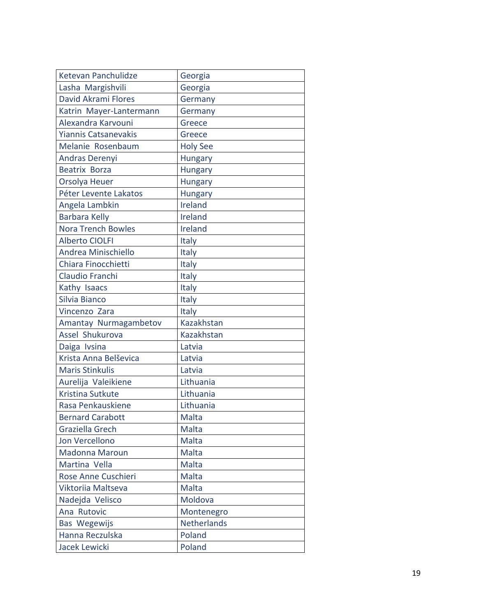| Ketevan Panchulidze         | Georgia            |
|-----------------------------|--------------------|
| Lasha Margishvili           | Georgia            |
| David Akrami Flores         | Germany            |
| Katrin Mayer-Lantermann     | Germany            |
| Alexandra Karvouni          | Greece             |
| <b>Yiannis Catsanevakis</b> | Greece             |
| Melanie Rosenbaum           | <b>Holy See</b>    |
| Andras Derenyi              | <b>Hungary</b>     |
| Beatrix Borza               | <b>Hungary</b>     |
| Orsolya Heuer               | <b>Hungary</b>     |
| Péter Levente Lakatos       | Hungary            |
| Angela Lambkin              | Ireland            |
| <b>Barbara Kelly</b>        | Ireland            |
| <b>Nora Trench Bowles</b>   | Ireland            |
| <b>Alberto CIOLFI</b>       | Italy              |
| Andrea Minischiello         | Italy              |
| Chiara Finocchietti         | Italy              |
| Claudio Franchi             | Italy              |
| Kathy Isaacs                | Italy              |
| Silvia Bianco               | Italy              |
| Vincenzo Zara               | Italy              |
| Amantay Nurmagambetov       | Kazakhstan         |
| Assel Shukurova             | Kazakhstan         |
| Daiga Ivsina                | Latvia             |
| Krista Anna Belševica       | Latvia             |
| <b>Maris Stinkulis</b>      | Latvia             |
| Aurelija Valeikiene         | Lithuania          |
| Kristina Sutkute            | Lithuania          |
| Rasa Penkauskiene           | Lithuania          |
| <b>Bernard Carabott</b>     | Malta              |
| Graziella Grech             | Malta              |
| Jon Vercellono              | Malta              |
| <b>Madonna Maroun</b>       | Malta              |
| Martina Vella               | Malta              |
| Rose Anne Cuschieri         | Malta              |
| Viktoriia Maltseva          | Malta              |
| Nadejda Velisco             | Moldova            |
| Ana Rutovic                 | Montenegro         |
| Bas Wegewijs                | <b>Netherlands</b> |
| Hanna Reczulska             | Poland             |
| Jacek Lewicki               | Poland             |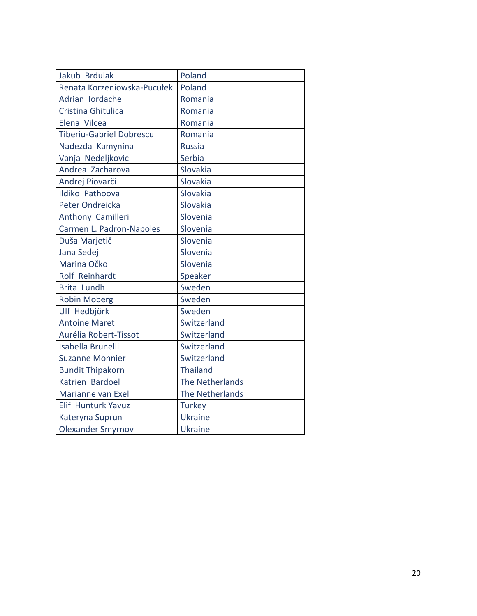| Jakub Brdulak                   | Poland          |
|---------------------------------|-----------------|
| Renata Korzeniowska-Pucułek     | Poland          |
| Adrian Iordache                 | Romania         |
| Cristina Ghitulica              | Romania         |
| Elena Vilcea                    | Romania         |
| <b>Tiberiu-Gabriel Dobrescu</b> | Romania         |
| Nadezda Kamynina                | <b>Russia</b>   |
| Vanja Nedeljkovic               | Serbia          |
| Andrea Zacharova                | Slovakia        |
| Andrej Piovarči                 | Slovakia        |
| Ildiko Pathoova                 | Slovakia        |
| Peter Ondreicka                 | Slovakia        |
| Anthony Camilleri               | Slovenia        |
| Carmen L. Padron-Napoles        | Slovenia        |
| Duša Marjetič                   | Slovenia        |
| Jana Sedej                      | Slovenia        |
| Marina Očko                     | Slovenia        |
| Rolf Reinhardt                  | Speaker         |
| <b>Brita Lundh</b>              | Sweden          |
| <b>Robin Moberg</b>             | Sweden          |
| Ulf Hedbjörk                    | Sweden          |
| <b>Antoine Maret</b>            | Switzerland     |
| Aurélia Robert-Tissot           | Switzerland     |
| <b>Isabella Brunelli</b>        | Switzerland     |
| <b>Suzanne Monnier</b>          | Switzerland     |
| <b>Bundit Thipakorn</b>         | <b>Thailand</b> |
| Katrien Bardoel                 | The Netherlands |
| Marianne van Exel               | The Netherlands |
| Elif Hunturk Yavuz              | <b>Turkey</b>   |
| Kateryna Suprun                 | <b>Ukraine</b>  |
| <b>Olexander Smyrnov</b>        | <b>Ukraine</b>  |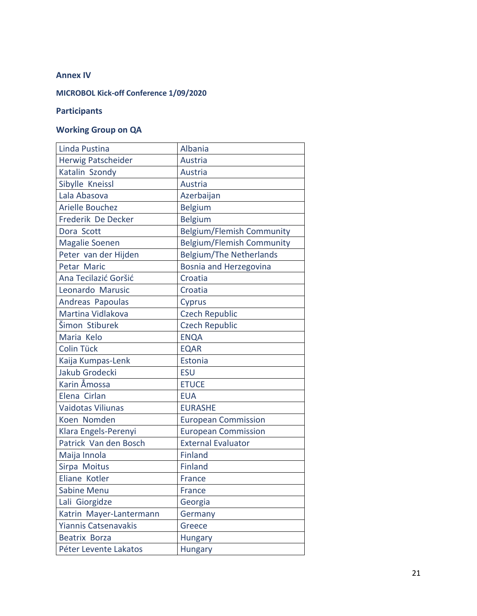#### **Annex IV**

#### **MICROBOL Kick-off Conference 1/09/2020**

#### **Participants**

## **Working Group on QA**

| Linda Pustina               | Albania                          |
|-----------------------------|----------------------------------|
| Herwig Patscheider          | Austria                          |
| Katalin Szondy              | Austria                          |
| Sibylle Kneissl             | Austria                          |
| Lala Abasova                | Azerbaijan                       |
| <b>Arielle Bouchez</b>      | <b>Belgium</b>                   |
| Frederik De Decker          | <b>Belgium</b>                   |
| Dora Scott                  | <b>Belgium/Flemish Community</b> |
| <b>Magalie Soenen</b>       | <b>Belgium/Flemish Community</b> |
| Peter van der Hijden        | <b>Belgium/The Netherlands</b>   |
| Petar Maric                 | Bosnia and Herzegovina           |
| Ana Tecilazić Goršić        | Croatia                          |
| Leonardo Marusic            | Croatia                          |
| Andreas Papoulas            | Cyprus                           |
| Martina Vidlakova           | <b>Czech Republic</b>            |
| Šimon Stiburek              | <b>Czech Republic</b>            |
| Maria Kelo                  | <b>ENQA</b>                      |
| Colin Tück                  | <b>EQAR</b>                      |
| Kaija Kumpas-Lenk           | Estonia                          |
| Jakub Grodecki              | <b>ESU</b>                       |
| Karin Åmossa                | <b>ETUCE</b>                     |
| Elena Cirlan                | <b>EUA</b>                       |
| <b>Vaidotas Viliunas</b>    | <b>EURASHE</b>                   |
| Koen Nomden                 | <b>European Commission</b>       |
| Klara Engels-Perenyi        | <b>European Commission</b>       |
| Patrick Van den Bosch       | <b>External Evaluator</b>        |
| Maija Innola                | <b>Finland</b>                   |
| Sirpa Moitus                | Finland                          |
| Eliane Kotler               | France                           |
| Sabine Menu                 | France                           |
| Lali Giorgidze              | Georgia                          |
| Katrin Mayer-Lantermann     | Germany                          |
| <b>Yiannis Catsenavakis</b> | Greece                           |
| <b>Beatrix Borza</b>        | <b>Hungary</b>                   |
| Péter Levente Lakatos       | Hungary                          |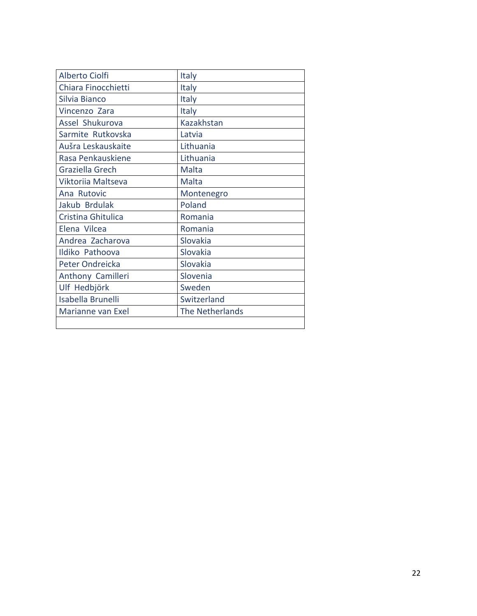| <b>Alberto Ciolfi</b>    | Italy           |
|--------------------------|-----------------|
| Chiara Finocchietti      | <b>Italy</b>    |
| Silvia Bianco            | <b>Italy</b>    |
| Vincenzo Zara            | <b>Italy</b>    |
| Assel Shukurova          | Kazakhstan      |
| Sarmite Rutkovska        | Latvia          |
| Aušra Leskauskaite       | Lithuania       |
| Rasa Penkauskiene        | Lithuania       |
| Graziella Grech          | Malta           |
| Viktoriia Maltseva       | Malta           |
| Ana Rutovic              | Montenegro      |
| Jakub Brdulak            | Poland          |
| Cristina Ghitulica       | Romania         |
| Elena Vilcea             | Romania         |
| Andrea Zacharova         | Slovakia        |
| Ildiko Pathoova          | Slovakia        |
| Peter Ondreicka          | Slovakia        |
| Anthony Camilleri        | Slovenia        |
| Ulf Hedbjörk             | Sweden          |
| <b>Isabella Brunelli</b> | Switzerland     |
| Marianne van Exel        | The Netherlands |
|                          |                 |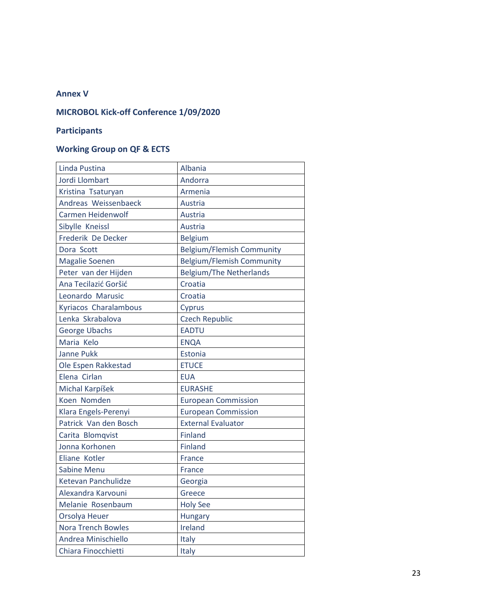#### **Annex V**

## **MICROBOL Kick-off Conference 1/09/2020**

## **Participants**

## **Working Group on QF & ECTS**

| Linda Pustina             | Albania                          |
|---------------------------|----------------------------------|
| Jordi Llombart            | Andorra                          |
| Kristina Tsaturyan        | Armenia                          |
| Andreas Weissenbaeck      | Austria                          |
| <b>Carmen Heidenwolf</b>  | Austria                          |
| Sibylle Kneissl           | Austria                          |
| Frederik De Decker        | <b>Belgium</b>                   |
| Dora Scott                | <b>Belgium/Flemish Community</b> |
| <b>Magalie Soenen</b>     | <b>Belgium/Flemish Community</b> |
| Peter van der Hijden      | <b>Belgium/The Netherlands</b>   |
| Ana Tecilazić Goršić      | Croatia                          |
| Leonardo Marusic          | Croatia                          |
| Kyriacos Charalambous     | Cyprus                           |
| Lenka Skrabalova          | <b>Czech Republic</b>            |
| <b>George Ubachs</b>      | <b>EADTU</b>                     |
| Maria Kelo                | <b>ENQA</b>                      |
| <b>Janne Pukk</b>         | Estonia                          |
| Ole Espen Rakkestad       | <b>ETUCE</b>                     |
| Elena Cirlan              | <b>EUA</b>                       |
| Michal Karpíšek           | <b>EURASHE</b>                   |
| Koen Nomden               | <b>European Commission</b>       |
| Klara Engels-Perenyi      | <b>European Commission</b>       |
| Patrick Van den Bosch     | <b>External Evaluator</b>        |
| Carita Blomqvist          | <b>Finland</b>                   |
| Jonna Korhonen            | <b>Finland</b>                   |
| Eliane Kotler             | France                           |
| Sabine Menu               | France                           |
| Ketevan Panchulidze       | Georgia                          |
| Alexandra Karvouni        | Greece                           |
| Melanie Rosenbaum         | <b>Holy See</b>                  |
| Orsolya Heuer             | <b>Hungary</b>                   |
| <b>Nora Trench Bowles</b> | Ireland                          |
| Andrea Minischiello       | Italy                            |
| Chiara Finocchietti       | Italy                            |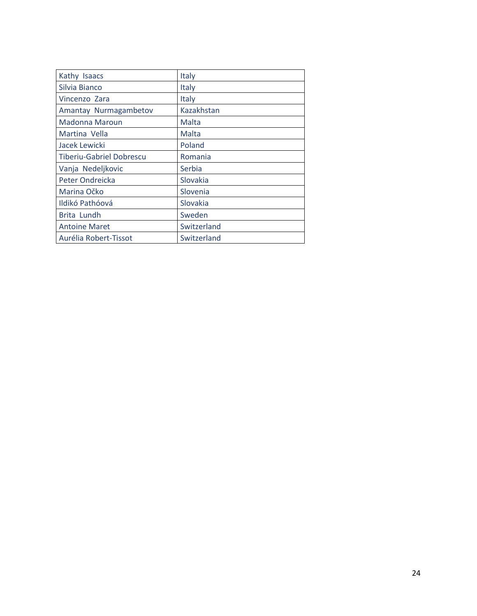| Kathy Isaacs                    | Italy       |
|---------------------------------|-------------|
| Silvia Bianco                   | Italy       |
| Vincenzo Zara                   | Italy       |
| Amantay Nurmagambetov           | Kazakhstan  |
| <b>Madonna Maroun</b>           | Malta       |
| Martina Vella                   | Malta       |
| Jacek Lewicki                   | Poland      |
| <b>Tiberiu-Gabriel Dobrescu</b> | Romania     |
| Vanja Nedeljkovic               | Serbia      |
| Peter Ondreicka                 | Slovakia    |
| Marina Očko                     | Slovenia    |
| Ildikó Pathóová                 | Slovakia    |
| Brita Lundh                     | Sweden      |
| <b>Antoine Maret</b>            | Switzerland |
| Aurélia Robert-Tissot           | Switzerland |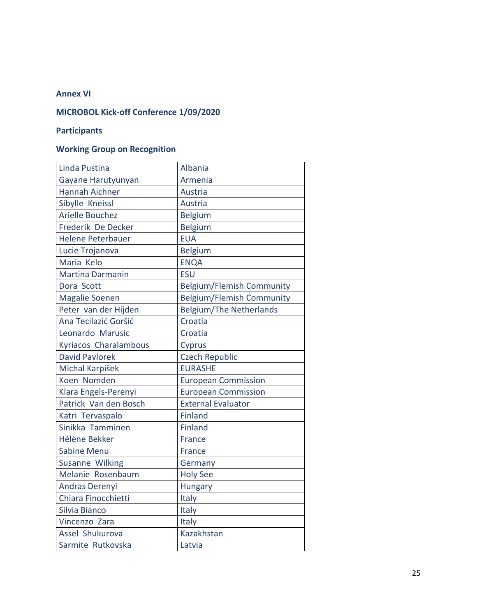#### **Annex VI**

## **MICROBOL Kick-off Conference 1/09/2020**

## **Participants**

## **Working Group on Recognition**

| Linda Pustina            | Albania                          |
|--------------------------|----------------------------------|
| Gayane Harutyunyan       | Armenia                          |
| <b>Hannah Aichner</b>    | <b>Austria</b>                   |
| Sibylle Kneissl          | Austria                          |
| <b>Arielle Bouchez</b>   | <b>Belgium</b>                   |
| Frederik De Decker       | <b>Belgium</b>                   |
| <b>Helene Peterbauer</b> | <b>EUA</b>                       |
| Lucie Trojanova          | <b>Belgium</b>                   |
| Maria Kelo               | <b>ENQA</b>                      |
| <b>Martina Darmanin</b>  | <b>ESU</b>                       |
| Dora Scott               | <b>Belgium/Flemish Community</b> |
| <b>Magalie Soenen</b>    | <b>Belgium/Flemish Community</b> |
| Peter van der Hijden     | <b>Belgium/The Netherlands</b>   |
| Ana Tecilazić Goršić     | Croatia                          |
| Leonardo Marusic         | Croatia                          |
| Kyriacos Charalambous    | Cyprus                           |
| <b>David Pavlorek</b>    | <b>Czech Republic</b>            |
| Michal Karpíšek          | <b>EURASHE</b>                   |
| Koen Nomden              | <b>European Commission</b>       |
| Klara Engels-Perenyi     | <b>European Commission</b>       |
| Patrick Van den Bosch    | <b>External Evaluator</b>        |
| Katri Tervaspalo         | <b>Finland</b>                   |
| Sinikka Tamminen         | <b>Finland</b>                   |
| Hélène Bekker            | <b>France</b>                    |
| <b>Sabine Menu</b>       | <b>France</b>                    |
| Susanne Wilking          | Germany                          |
| Melanie Rosenbaum        | <b>Holy See</b>                  |
| Andras Derenyi           | <b>Hungary</b>                   |
| Chiara Finocchietti      | Italy                            |
| Silvia Bianco            | Italy                            |
| Vincenzo Zara            | Italy                            |
| Assel Shukurova          | Kazakhstan                       |
| Sarmite Rutkovska        | Latvia                           |